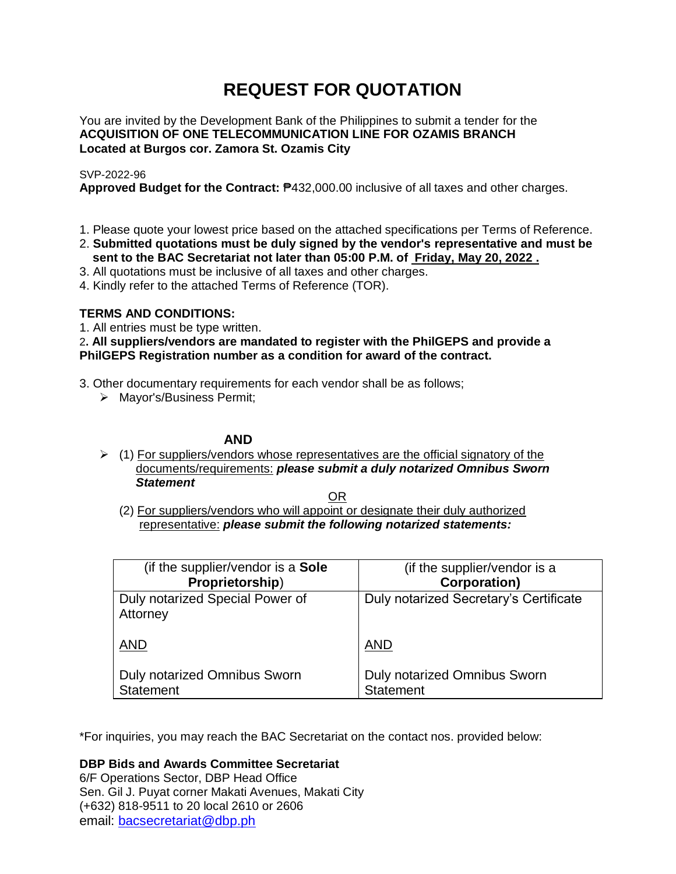# **REQUEST FOR QUOTATION**

You are invited by the Development Bank of the Philippines to submit a tender for the **ACQUISITION OF ONE TELECOMMUNICATION LINE FOR OZAMIS BRANCH Located at Burgos cor. Zamora St. Ozamis City**

## SVP-2022-96

**Approved Budget for the Contract:** ₱432,000.00 inclusive of all taxes and other charges.

- 1. Please quote your lowest price based on the attached specifications per Terms of Reference.
- 2. **Submitted quotations must be duly signed by the vendor's representative and must be sent to the BAC Secretariat not later than 05:00 P.M. of Friday, May 20, 2022 .**
- 3. All quotations must be inclusive of all taxes and other charges.
- 4. Kindly refer to the attached Terms of Reference (TOR).

## **TERMS AND CONDITIONS:**

1. All entries must be type written.

2**. All suppliers/vendors are mandated to register with the PhilGEPS and provide a PhilGEPS Registration number as a condition for award of the contract.**

- 3. Other documentary requirements for each vendor shall be as follows;
	- > Mayor's/Business Permit;

## **AND**

 $\geq$  (1) For suppliers/vendors whose representatives are the official signatory of the documents/requirements: *please submit a duly notarized Omnibus Sworn Statement*

<u>OR Starting and the Starting OR Starting</u>

(2) For suppliers/vendors who will appoint or designate their duly authorized representative: *please submit the following notarized statements:*

| (if the supplier/vendor is a Sole           | (if the supplier/vendor is a           |
|---------------------------------------------|----------------------------------------|
| Proprietorship)                             | <b>Corporation)</b>                    |
| Duly notarized Special Power of<br>Attorney | Duly notarized Secretary's Certificate |
| <b>AND</b>                                  | <b>AND</b>                             |
| Duly notarized Omnibus Sworn                | Duly notarized Omnibus Sworn           |
| <b>Statement</b>                            | <b>Statement</b>                       |

\*For inquiries, you may reach the BAC Secretariat on the contact nos. provided below:

**DBP Bids and Awards Committee Secretariat** 

6/F Operations Sector, DBP Head Office Sen. Gil J. Puyat corner Makati Avenues, Makati City (+632) 818-9511 to 20 local 2610 or 2606 email: [bacsecretariat@dbp.ph](mailto:bacsecretariat@dbp.ph)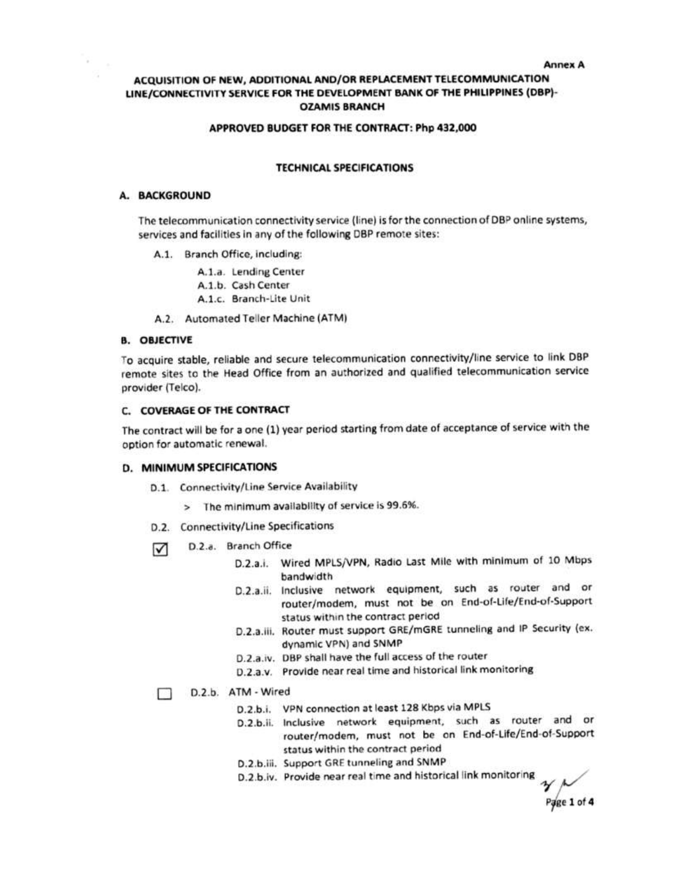#### **Annex A**

## ACQUISITION OF NEW, ADDITIONAL AND/OR REPLACEMENT TELECOMMUNICATION LINE/CONNECTIVITY SERVICE FOR THE DEVELOPMENT BANK OF THE PHILIPPINES (DBP)-**OZAMIS BRANCH**

#### APPROVED BUDGET FOR THE CONTRACT: Php 432,000

#### **TECHNICAL SPECIFICATIONS**

#### A. BACKGROUND

The telecommunication connectivity service (line) is for the connection of DBP online systems, services and facilities in any of the following DBP remote sites:

- A.1. Branch Office, including:
	- A.1.a. Lending Center
	- A.1.b. Cash Center
	- A.1.c. Branch-Lite Unit
- A.2. Automated Teller Machine (ATM)

## **B. OBJECTIVE**

To acquire stable, reliable and secure telecommunication connectivity/line service to link DBP remote sites to the Head Office from an authorized and qualified telecommunication service provider (Telco).

#### C. COVERAGE OF THE CONTRACT

The contract will be for a one (1) year period starting from date of acceptance of service with the option for automatic renewal.

#### D. MINIMUM SPECIFICATIONS

- D.1. Connectivity/Line Service Availability
	- > The minimum availability of service is 99.6%.
- D.2. Connectivity/Line Specifications
- D.2.a. Branch Office ⊽
	- D.2.a.i. Wired MPLS/VPN, Radio Last Mile with minimum of 10 Mbps bandwidth
	- D.2.a.ii. Inclusive network equipment, such as router and or router/modem, must not be on End-of-Life/End-of-Support status within the contract period
	- D.2.a.iii. Router must support GRE/mGRE tunneling and IP Security (ex. dynamic VPN) and SNMP
	- D.2.a.iv. DBP shall have the full access of the router
	- D.2.a.v. Provide near real time and historical link monitoring

D.2.b. ATM - Wired ⊓

- D.2.b.i. VPN connection at least 128 Kbps via MPLS
- D.2.b.ii. Inclusive network equipment, such as router and or router/modem, must not be on End-of-Life/End-of-Support status within the contract period
- D.2.b.iii. Support GRE tunneling and SNMP
- D.2.b.iv. Provide near real time and historical link monitoring

Page 1 of 4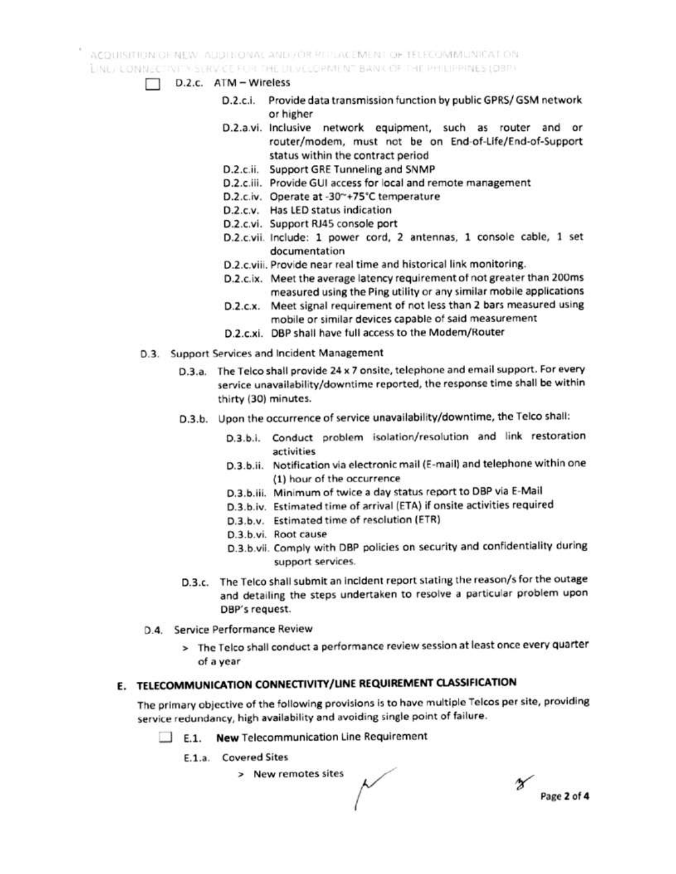ACQUISITION OF NEW ALDI NONAL AND/OR REFLACEMENT OF TELECOMMUNICATION. LINE/ CONNECTIVE V STRVICE FOR THE DEVELOPMENT BANK OF THE PHILIPPINES (DBP).

- $D.2.c.$   $ATM Wireless$ 
	- D.2.c.i. Provide data transmission function by public GPRS/GSM network or higher
	- D.2.a.vi. Inclusive network equipment, such as router and or router/modem, must not be on End-of-Life/End-of-Support status within the contract period
	- D.2.c.ii. Support GRE Tunneling and SNMP
	- D.2.c.iii. Provide GUI access for local and remote management
	- D.2.c.iv. Operate at -30~+75°C temperature
	- D.2.c.v. Has LED status indication
	- D.2.c.vi. Support RJ45 console port
	- D.2.c.vii. Include: 1 power cord, 2 antennas, 1 console cable, 1 set documentation
	- D.2.c.viii. Provide near real time and historical link monitoring.
	- D.2.c.ix. Meet the average latency requirement of not greater than 200ms measured using the Ping utility or any similar mobile applications
	- D.2.c.x. Meet signal requirement of not less than 2 bars measured using mobile or similar devices capable of said measurement
	- D.2.c.xi. DBP shall have full access to the Modem/Router
- D.3. Support Services and Incident Management
	- D.3.a. The Telco shall provide 24 x 7 onsite, telephone and email support. For every service unavailability/downtime reported, the response time shall be within thirty (30) minutes.
	- D.3.b. Upon the occurrence of service unavailability/downtime, the Telco shall:
		- D.3.b.i. Conduct problem isolation/resolution and link restoration activities
		- D.3.b.ii. Notification via electronic mail (E-mail) and telephone within one (1) hour of the occurrence
		- D.3.b.iii. Minimum of twice a day status report to DBP via E-Mail
		- D.3.b.iv. Estimated time of arrival (ETA) if onsite activities required
		- D.3.b.v. Estimated time of resolution (ETR)
		- D.3.b.vi. Root cause
		- D.3.b.vii. Comply with DBP policies on security and confidentiality during support services.
	- D.3.c. The Telco shall submit an incident report stating the reason/s for the outage and detailing the steps undertaken to resolve a particular problem upon DBP's request.
- D.4. Service Performance Review
	- > The Telco shall conduct a performance review session at least once every quarter of a year

# E. TELECOMMUNICATION CONNECTIVITY/LINE REQUIREMENT CLASSIFICATION

The primary objective of the following provisions is to have multiple Telcos per site, providing service redundancy, high availability and avoiding single point of failure.

- E.1. New Telecommunication Line Requirement
	- E.1.a. Covered Sites
		- > New remotes sites

 $\mathbf{\hat{x}}$ Page 2 of 4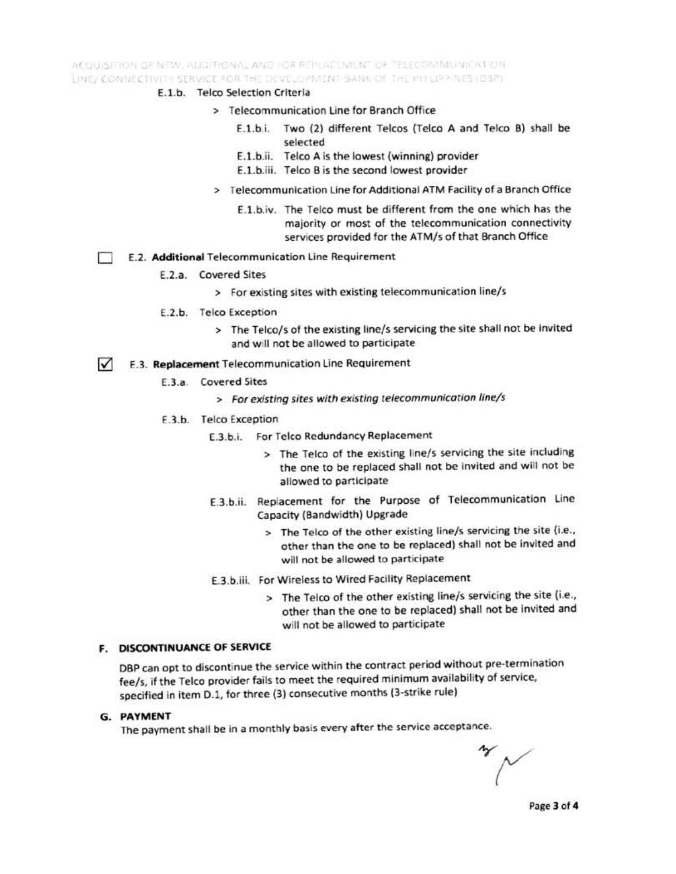ACQUISITION QF NEW, ADDITIONAL AND JOR REPLACEMENT OF TELECOMMUNICATION INE/CONNECTIVITY SERVICE FOR THE DEVELOPMENT BANN OF THE PH LIPPINES (DBP)

#### E.1.b. Telco Selection Criteria

- > Telecommunication Line for Branch Office
	- E.1.b.i. Two (2) different Telcos (Telco A and Telco B) shall be selected
	- E.1.b.ii. Telco A is the lowest (winning) provider
	- E.1.b.iii. Telco B is the second lowest provider
- > Telecommunication Line for Additional ATM Facility of a Branch Office
	- E.1.b.iv. The Telco must be different from the one which has the majority or most of the telecommunication connectivity services provided for the ATM/s of that Branch Office

## E.2. Additional Telecommunication Line Requirement

- E.2.a. Covered Sites
	- > For existing sites with existing telecommunication line/s
- E.2.b. Telco Exception
	- > The Telco/s of the existing line/s servicing the site shall not be invited and will not be allowed to participate
- $\sqrt{}$ E.3. Replacement Telecommunication Line Requirement
	- E.3.a. Covered Sites
		- > For existing sites with existing telecommunication line/s
	- E.3.b. Telco Exception
		- E.3.b.i. For Telco Redundancy Replacement
			- > The Telco of the existing line/s servicing the site including the one to be replaced shall not be invited and will not be allowed to participate
		- E.3.b.ii. Replacement for the Purpose of Telecommunication Line Capacity (Bandwidth) Upgrade
			- > The Telco of the other existing line/s servicing the site (i.e., other than the one to be replaced) shall not be invited and will not be allowed to participate
		- E.3.b.iii. For Wireless to Wired Facility Replacement
			- > The Telco of the other existing line/s servicing the site (i.e., other than the one to be replaced) shall not be invited and will not be allowed to participate

#### F. DISCONTINUANCE OF SERVICE

DBP can opt to discontinue the service within the contract period without pre-termination fee/s, if the Telco provider fails to meet the required minimum availability of service, specified in item D.1, for three (3) consecutive months (3-strike rule)

#### G. PAYMENT

The payment shall be in a monthly basis every after the service acceptance.